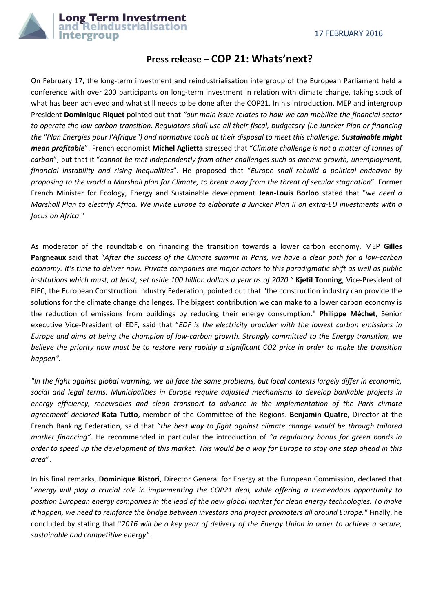

## **Press release – COP 21: Whats'next?**

On February 17, the long-term investment and reindustrialisation intergroup of the European Parliament held a conference with over 200 participants on long-term investment in relation with climate change, taking stock of what has been achieved and what still needs to be done after the COP21. In his introduction, MEP and intergroup President **Dominique Riquet** pointed out that *"our main issue relates to how we can mobilize the financial sector to operate the low carbon transition. Regulators shall use all their fiscal, budgetary (i.e Juncker Plan or financing the "Plan Energies pour l'Afrique") and normative tools at their disposal to meet this challenge. Sustainable might mean profitable*". French economist **Michel Aglietta** stressed that "*Climate challenge is not a matter of tonnes of carbon*", but that it "*cannot be met independently from other challenges such as anemic growth, unemployment, financial instability and rising inequalities*". He proposed that "*Europe shall rebuild a political endeavor by proposing to the world a Marshall plan for Climate, to break away from the threat of secular stagnation*". Former French Minister for Ecology, Energy and Sustainable development **Jean-Louis Borloo** stated that "w*e need a Marshall Plan to electrify Africa. We invite Europe to elaborate a Juncker Plan II on extra-EU investments with a focus on Africa*."

As moderator of the roundtable on financing the transition towards a lower carbon economy, MEP **Gilles Pargneaux** said that "*After the success of the Climate summit in Paris, we have a clear path for a low-carbon economy. It's time to deliver now. Private companies are major actors to this paradigmatic shift as well as public institutions which must, at least, set aside 100 billion dollars a year as of 2020."* **Kjetil Tonning**, Vice-President of FIEC, the European Construction Industry Federation, pointed out that "the construction industry can provide the solutions for the climate change challenges. The biggest contribution we can make to a lower carbon economy is the reduction of emissions from buildings by reducing their energy consumption." **Philippe Méchet**, Senior executive Vice-President of EDF, said that "*EDF is the electricity provider with the lowest carbon emissions in Europe and aims at being the champion of low-carbon growth. Strongly committed to the Energy transition, we believe the priority now must be to restore very rapidly a significant CO2 price in order to make the transition happen".*

*"In the fight against global warming, we all face the same problems, but local contexts largely differ in economic, social and legal terms. Municipalities in Europe require adjusted mechanisms to develop bankable projects in energy efficiency, renewables and clean transport to advance in the implementation of the Paris climate agreement' declared* **Kata Tutto**, member of the Committee of the Regions. **Benjamin Quatre**, Director at the French Banking Federation, said that "*the best way to fight against climate change would be through tailored market financing".* He recommended in particular the introduction of *"a regulatory bonus for green bonds in order to speed up the development of this market. This would be a way for Europe to stay one step ahead in this area*".

In his final remarks, **Dominique Ristori**, Director General for Energy at the European Commission, declared that "*energy will play a crucial role in implementing the COP21 deal, while offering a tremendous opportunity to position European energy companies in the lead of the new global market for clean energy technologies. To make it happen, we need to reinforce the bridge between investors and project promoters all around Europe."* Finally, he concluded by stating that "*2016 will be a key year of delivery of the Energy Union in order to achieve a secure, sustainable and competitive energy".*